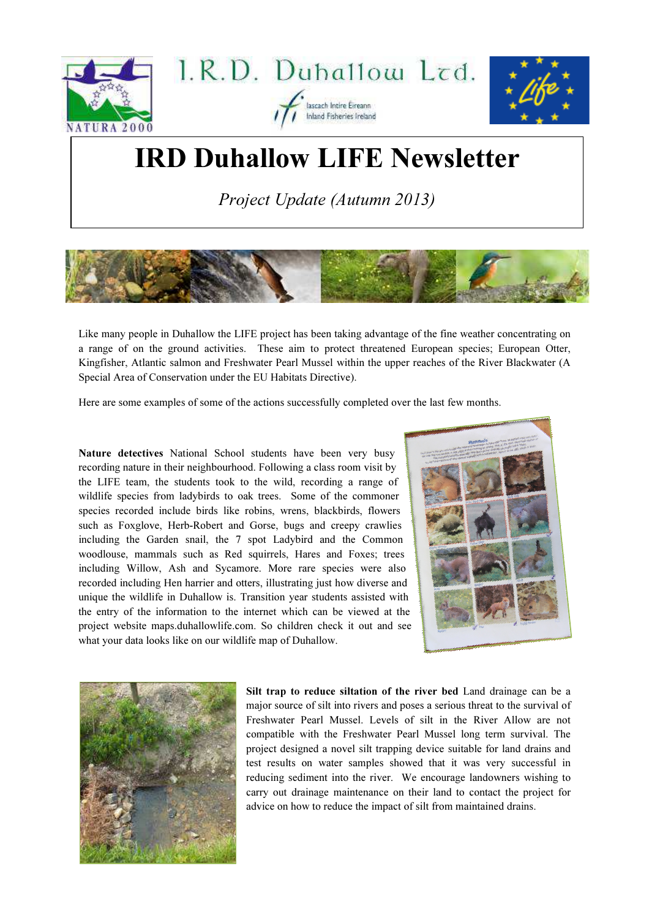

## IRD Duhallow LIFE Newsletter

Project Update (Autumn 2013)



Like many people in Duhallow the LIFE project has been taking advantage of the fine weather concentrating on a range of on the ground activities. These aim to protect threatened European species; European Otter, Kingfisher, Atlantic salmon and Freshwater Pearl Mussel within the upper reaches of the River Blackwater (A Special Area of Conservation under the EU Habitats Directive).

Here are some examples of some of the actions successfully completed over the last few months.

Nature detectives National School students have been very busy recording nature in their neighbourhood. Following a class room visit by the LIFE team, the students took to the wild, recording a range of wildlife species from ladybirds to oak trees. Some of the commoner species recorded include birds like robins, wrens, blackbirds, flowers such as Foxglove, Herb-Robert and Gorse, bugs and creepy crawlies including the Garden snail, the 7 spot Ladybird and the Common woodlouse, mammals such as Red squirrels, Hares and Foxes; trees including Willow, Ash and Sycamore. More rare species were also recorded including Hen harrier and otters, illustrating just how diverse and unique the wildlife in Duhallow is. Transition year students assisted with the entry of the information to the internet which can be viewed at the project website maps.duhallowlife.com. So children check it out and see what your data looks like on our wildlife map of Duhallow.





Silt trap to reduce siltation of the river bed Land drainage can be a major source of silt into rivers and poses a serious threat to the survival of Freshwater Pearl Mussel. Levels of silt in the River Allow are not compatible with the Freshwater Pearl Mussel long term survival. The project designed a novel silt trapping device suitable for land drains and test results on water samples showed that it was very successful in reducing sediment into the river. We encourage landowners wishing to carry out drainage maintenance on their land to contact the project for advice on how to reduce the impact of silt from maintained drains.